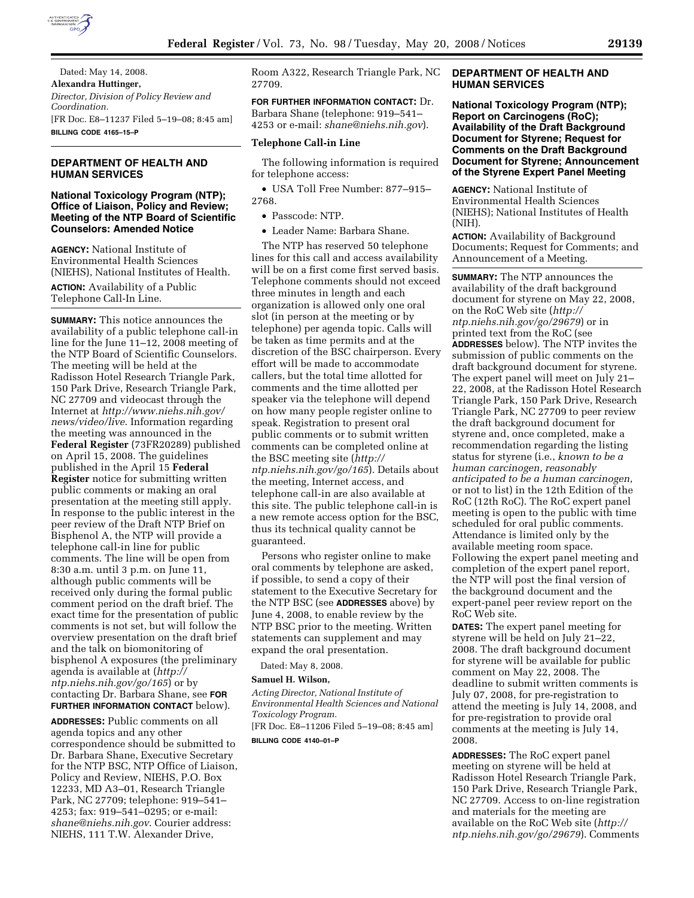

Dated: May 14, 2008. **Alexandra Huttinger,**  *Director, Division of Policy Review and Coordination.*  [FR Doc. E8–11237 Filed 5–19–08; 8:45 am] **BILLING CODE 4165–15–P** 

# **DEPARTMENT OF HEALTH AND HUMAN SERVICES**

# **National Toxicology Program (NTP); Office of Liaison, Policy and Review; Meeting of the NTP Board of Scientific Counselors: Amended Notice**

**AGENCY:** National Institute of Environmental Health Sciences (NIEHS), National Institutes of Health.

**ACTION:** Availability of a Public Telephone Call-In Line.

**SUMMARY:** This notice announces the availability of a public telephone call-in line for the June 11–12, 2008 meeting of the NTP Board of Scientific Counselors. The meeting will be held at the Radisson Hotel Research Triangle Park, 150 Park Drive, Research Triangle Park, NC 27709 and videocast through the Internet at *http://www.niehs.nih.gov/ news/video/live*. Information regarding the meeting was announced in the **Federal Register** (73FR20289) published on April 15, 2008. The guidelines published in the April 15 **Federal Register** notice for submitting written public comments or making an oral presentation at the meeting still apply. In response to the public interest in the peer review of the Draft NTP Brief on Bisphenol A, the NTP will provide a telephone call-in line for public comments. The line will be open from 8:30 a.m. until 3 p.m. on June 11, although public comments will be received only during the formal public comment period on the draft brief. The exact time for the presentation of public comments is not set, but will follow the overview presentation on the draft brief and the talk on biomonitoring of bisphenol A exposures (the preliminary agenda is available at (*http:// ntp.niehs.nih.gov/go/165*) or by contacting Dr. Barbara Shane, see **FOR FURTHER INFORMATION CONTACT** below).

**ADDRESSES:** Public comments on all agenda topics and any other correspondence should be submitted to Dr. Barbara Shane, Executive Secretary for the NTP BSC, NTP Office of Liaison, Policy and Review, NIEHS, P.O. Box 12233, MD A3–01, Research Triangle Park, NC 27709; telephone: 919–541– 4253; fax: 919–541–0295; or e-mail: *shane@niehs.nih.gov*. Courier address: NIEHS, 111 T.W. Alexander Drive,

Room A322, Research Triangle Park, NC 27709.

**FOR FURTHER INFORMATION CONTACT:** Dr. Barbara Shane (telephone: 919–541– 4253 or e-mail: *shane@niehs.nih.gov*).

## **Telephone Call-in Line**

The following information is required for telephone access:

• USA Toll Free Number: 877–915– 2768.

• Passcode: NTP.

• Leader Name: Barbara Shane.

The NTP has reserved 50 telephone lines for this call and access availability will be on a first come first served basis. Telephone comments should not exceed three minutes in length and each organization is allowed only one oral slot (in person at the meeting or by telephone) per agenda topic. Calls will be taken as time permits and at the discretion of the BSC chairperson. Every effort will be made to accommodate callers, but the total time allotted for comments and the time allotted per speaker via the telephone will depend on how many people register online to speak. Registration to present oral public comments or to submit written comments can be completed online at the BSC meeting site (*http:// ntp.niehs.nih.gov/go/165*). Details about the meeting, Internet access, and telephone call-in are also available at this site. The public telephone call-in is a new remote access option for the BSC, thus its technical quality cannot be guaranteed.

Persons who register online to make oral comments by telephone are asked, if possible, to send a copy of their statement to the Executive Secretary for the NTP BSC (see **ADDRESSES** above) by June 4, 2008, to enable review by the NTP BSC prior to the meeting. Written statements can supplement and may expand the oral presentation.

Dated: May 8, 2008.

### **Samuel H. Wilson,**

*Acting Director, National Institute of Environmental Health Sciences and National Toxicology Program.* 

[FR Doc. E8–11206 Filed 5–19–08; 8:45 am]

**BILLING CODE 4140–01–P** 

# **DEPARTMENT OF HEALTH AND HUMAN SERVICES**

**National Toxicology Program (NTP); Report on Carcinogens (RoC); Availability of the Draft Background Document for Styrene; Request for Comments on the Draft Background Document for Styrene; Announcement of the Styrene Expert Panel Meeting** 

**AGENCY:** National Institute of Environmental Health Sciences (NIEHS); National Institutes of Health (NIH).

**ACTION:** Availability of Background Documents; Request for Comments; and Announcement of a Meeting.

**SUMMARY:** The NTP announces the availability of the draft background document for styrene on May 22, 2008, on the RoC Web site (*http:// ntp.niehs.nih.gov/go/29679*) or in printed text from the RoC (see **ADDRESSES** below). The NTP invites the submission of public comments on the draft background document for styrene. The expert panel will meet on July 21– 22, 2008, at the Radisson Hotel Research Triangle Park, 150 Park Drive, Research Triangle Park, NC 27709 to peer review the draft background document for styrene and, once completed, make a recommendation regarding the listing status for styrene (i.e., *known to be a human carcinogen, reasonably anticipated to be a human carcinogen*, or not to list) in the 12th Edition of the RoC (12th RoC). The RoC expert panel meeting is open to the public with time scheduled for oral public comments. Attendance is limited only by the available meeting room space. Following the expert panel meeting and completion of the expert panel report, the NTP will post the final version of the background document and the expert-panel peer review report on the RoC Web site.

**DATES:** The expert panel meeting for styrene will be held on July 21–22, 2008. The draft background document for styrene will be available for public comment on May 22, 2008. The deadline to submit written comments is July 07, 2008, for pre-registration to attend the meeting is July 14, 2008, and for pre-registration to provide oral comments at the meeting is July 14, 2008.

**ADDRESSES:** The RoC expert panel meeting on styrene will be held at Radisson Hotel Research Triangle Park, 150 Park Drive, Research Triangle Park, NC 27709. Access to on-line registration and materials for the meeting are available on the RoC Web site (*http:// ntp.niehs.nih.gov/go/29679*). Comments